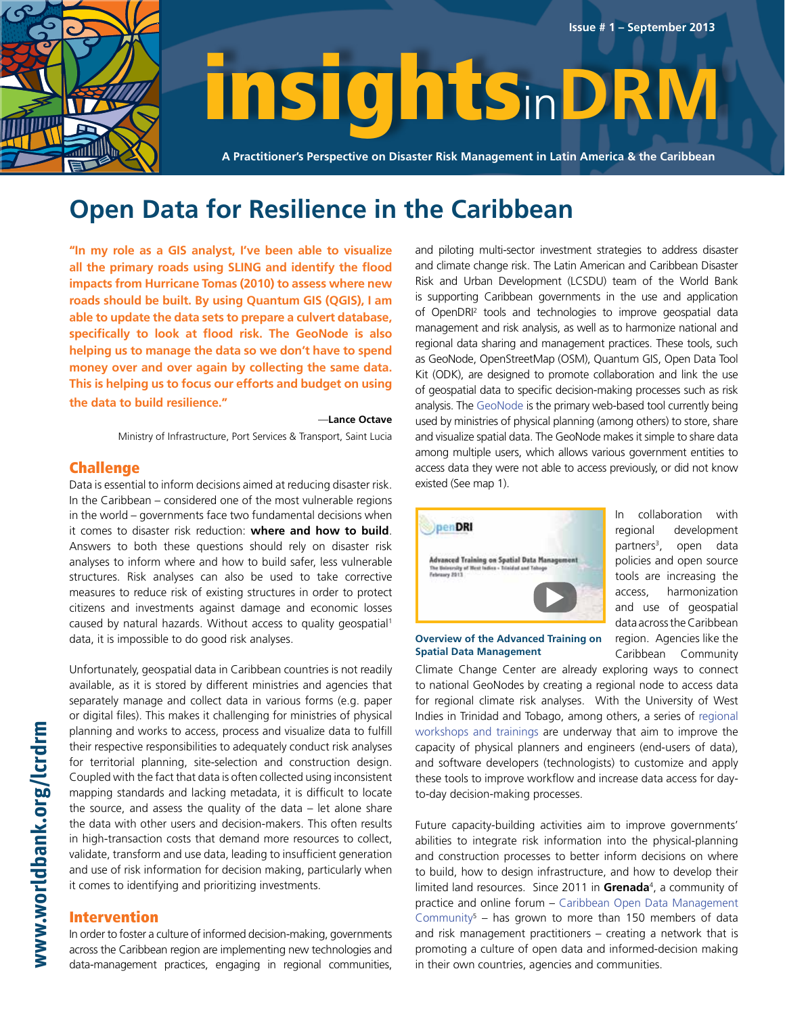

# insightsin**DRM**

**A Practitioner's Perspective on Disaster Risk Management in Latin America & the Caribbean**

### **Open Data for Resilience in the Caribbean**

**"In my role as a GIS analyst, I've been able to visualize all the primary roads using SLING and identify the flood impacts from Hurricane Tomas (2010) to assess where new roads should be built. By using Quantum GIS (QGIS), I am able to update the data sets to prepare a culvert database, specifically to look at flood risk. The GeoNode is also helping us to manage the data so we don't have to spend money over and over again by collecting the same data. This is helping us to focus our efforts and budget on using the data to build resilience."**

#### —**Lance Octave**

Ministry of Infrastructure, Port Services & Transport, Saint Lucia

### Challenge

Data is essential to inform decisions aimed at reducing disaster risk. In the Caribbean – considered one of the most vulnerable regions in the world – governments face two fundamental decisions when it comes to disaster risk reduction: **where and how to build**. Answers to both these questions should rely on disaster risk analyses to inform where and how to build safer, less vulnerable structures. Risk analyses can also be used to take corrective measures to reduce risk of existing structures in order to protect citizens and investments against damage and economic losses caused by natural hazards. Without access to quality geospatial<sup>1</sup> data, it is impossible to do good risk analyses.

Unfortunately, geospatial data in Caribbean countries is not readily available, as it is stored by different ministries and agencies that separately manage and collect data in various forms (e.g. paper or digital files). This makes it challenging for ministries of physical planning and works to access, process and visualize data to fulfill their respective responsibilities to adequately conduct risk analyses for territorial planning, site-selection and construction design. Coupled with the fact that data is often collected using inconsistent mapping standards and lacking metadata, it is difficult to locate the source, and assess the quality of the data – let alone share the data with other users and decision-makers. This often results in high-transaction costs that demand more resources to collect, validate, transform and use data, leading to insufficient generation and use of risk information for decision making, particularly when it comes to identifying and prioritizing investments.

### Intervention

In order to foster a culture of informed decision-making, governments across the Caribbean region are implementing new technologies and data-management practices, engaging in regional communities,

and piloting multi-sector investment strategies to address disaster and climate change risk. The Latin American and Caribbean Disaster Risk and Urban Development (LCSDU) team of the World Bank is supporting Caribbean governments in the use and application of OpenDRI2 tools and technologies to improve geospatial data management and risk analysis, as well as to harmonize national and regional data sharing and management practices. These tools, such as GeoNode, OpenStreetMap (OSM), Quantum GIS, Open Data Tool Kit (ODK), are designed to promote collaboration and link the use of geospatial data to specific decision-making processes such as risk analysis. The [GeoNode](http://www.youtube.com/watch?v=A1P4phxRghM) is the primary web-based tool currently being used by ministries of physical planning (among others) to store, share and visualize spatial data. The GeoNode makes it simple to share data among multiple users, which allows various government entities to access data they were not able to access previously, or did not know existe[d \(See map 1\).](#page-1-0)

**Issue # 1 – September 2013**



**Overview of the Advanced Training on** 

to-day decision-making processes.

In collaboration with regional development partners $3$ , , open data policies and open source tools are increasing the access, harmonization and use of geospatial data across the Caribbean region. Agencies like the Caribbean Community

Climate Change Center are already exploring ways to connect to national GeoNodes by creating a regional node to access data for regional climate risk analyses. With the University of West Indies in Trinidad and Tobago, among others, a series of regional [workshops and trainings are underway that aim to improve the](http://www.youtube.com/watch?v=La728FFI3W4)  capacity of physical planners and engineers (end-users of data), and software developers (technologists) to customize and apply these tools to improve workflow and increase data access for day-**Spatial Data Management**

Future capacity-building activities aim to improve governments' abilities to integrate risk information into the physical-planning and construction processes to better inform decisions on where to build, how to design infrastructure, and how to develop their limited land resources. Since 2011 in **[Grenada](http://web.worldbank.org/WBSITE/EXTERNAL/COUNTRIES/LACEXT/EXTLACREGTOPURBDEV/0,,contentMDK:23062069~pagePK:34004173~piPK:34003707~theSitePK:841043,00.html)**<sup>4</sup> , a community of [practice and online forum – Caribbean Open Data Management](https://collaboration.worldbank.org/groups/login.jspa)  Community<sup>5</sup> – has grown to more than 150 members of data and risk management practitioners – creating a network that is promoting a culture of open data and informed-decision making in their own countries, agencies and communities.